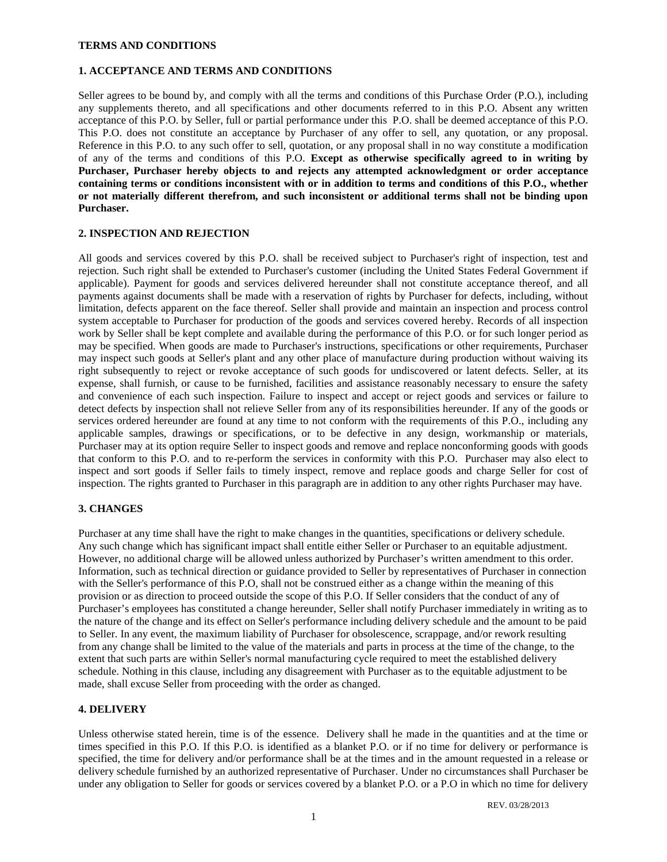#### **TERMS AND CONDITIONS**

### **1. ACCEPTANCE AND TERMS AND CONDITIONS**

Seller agrees to be bound by, and comply with all the terms and conditions of this Purchase Order (P.O.), including any supplements thereto, and all specifications and other documents referred to in this P.O. Absent any written acceptance of this P.O. by Seller, full or partial performance under this P.O. shall be deemed acceptance of this P.O. This P.O. does not constitute an acceptance by Purchaser of any offer to sell, any quotation, or any proposal. Reference in this P.O. to any such offer to sell, quotation, or any proposal shall in no way constitute a modification of any of the terms and conditions of this P.O. **Except as otherwise specifically agreed to in writing by Purchaser, Purchaser hereby objects to and rejects any attempted acknowledgment or order acceptance containing terms or conditions inconsistent with or in addition to terms and conditions of this P.O., whether or not materially different therefrom, and such inconsistent or additional terms shall not be binding upon Purchaser.**

### **2. INSPECTION AND REJECTION**

All goods and services covered by this P.O. shall be received subject to Purchaser's right of inspection, test and rejection. Such right shall be extended to Purchaser's customer (including the United States Federal Government if applicable). Payment for goods and services delivered hereunder shall not constitute acceptance thereof, and all payments against documents shall be made with a reservation of rights by Purchaser for defects, including, without limitation, defects apparent on the face thereof. Seller shall provide and maintain an inspection and process control system acceptable to Purchaser for production of the goods and services covered hereby. Records of all inspection work by Seller shall be kept complete and available during the performance of this P.O. or for such longer period as may be specified. When goods are made to Purchaser's instructions, specifications or other requirements, Purchaser may inspect such goods at Seller's plant and any other place of manufacture during production without waiving its right subsequently to reject or revoke acceptance of such goods for undiscovered or latent defects. Seller, at its expense, shall furnish, or cause to be furnished, facilities and assistance reasonably necessary to ensure the safety and convenience of each such inspection. Failure to inspect and accept or reject goods and services or failure to detect defects by inspection shall not relieve Seller from any of its responsibilities hereunder. If any of the goods or services ordered hereunder are found at any time to not conform with the requirements of this P.O., including any applicable samples, drawings or specifications, or to be defective in any design, workmanship or materials, Purchaser may at its option require Seller to inspect goods and remove and replace nonconforming goods with goods that conform to this P.O. and to re-perform the services in conformity with this P.O. Purchaser may also elect to inspect and sort goods if Seller fails to timely inspect, remove and replace goods and charge Seller for cost of inspection. The rights granted to Purchaser in this paragraph are in addition to any other rights Purchaser may have.

# **3. CHANGES**

Purchaser at any time shall have the right to make changes in the quantities, specifications or delivery schedule. Any such change which has significant impact shall entitle either Seller or Purchaser to an equitable adjustment. However, no additional charge will be allowed unless authorized by Purchaser's written amendment to this order. Information, such as technical direction or guidance provided to Seller by representatives of Purchaser in connection with the Seller's performance of this P.O, shall not be construed either as a change within the meaning of this provision or as direction to proceed outside the scope of this P.O. If Seller considers that the conduct of any of Purchaser's employees has constituted a change hereunder, Seller shall notify Purchaser immediately in writing as to the nature of the change and its effect on Seller's performance including delivery schedule and the amount to be paid to Seller. In any event, the maximum liability of Purchaser for obsolescence, scrappage, and/or rework resulting from any change shall be limited to the value of the materials and parts in process at the time of the change, to the extent that such parts are within Seller's normal manufacturing cycle required to meet the established delivery schedule. Nothing in this clause, including any disagreement with Purchaser as to the equitable adjustment to be made, shall excuse Seller from proceeding with the order as changed.

# **4. DELIVERY**

Unless otherwise stated herein, time is of the essence. Delivery shall he made in the quantities and at the time or times specified in this P.O. If this P.O. is identified as a blanket P.O. or if no time for delivery or performance is specified, the time for delivery and/or performance shall be at the times and in the amount requested in a release or delivery schedule furnished by an authorized representative of Purchaser. Under no circumstances shall Purchaser be under any obligation to Seller for goods or services covered by a blanket P.O. or a P.O in which no time for delivery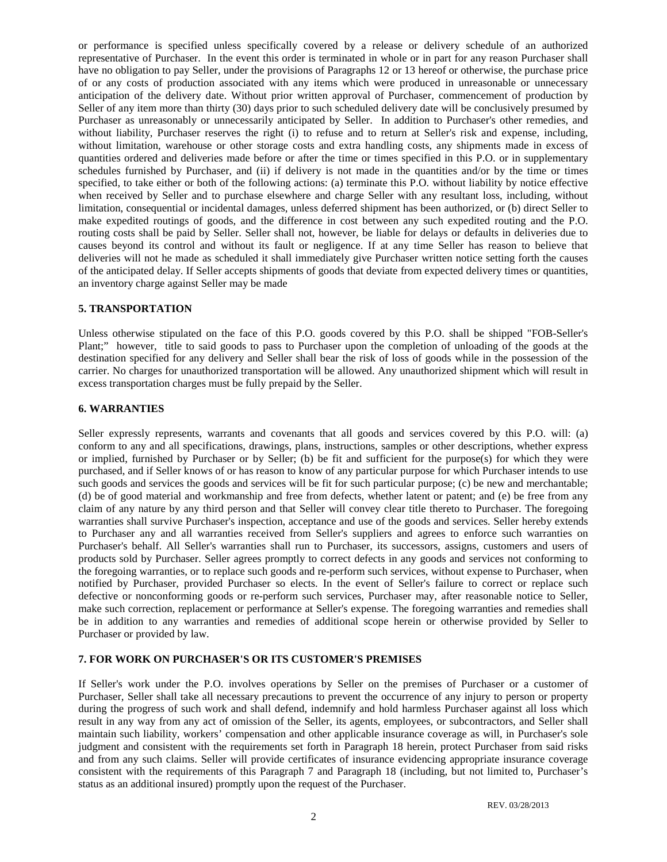or performance is specified unless specifically covered by a release or delivery schedule of an authorized representative of Purchaser. In the event this order is terminated in whole or in part for any reason Purchaser shall have no obligation to pay Seller, under the provisions of Paragraphs 12 or 13 hereof or otherwise, the purchase price of or any costs of production associated with any items which were produced in unreasonable or unnecessary anticipation of the delivery date. Without prior written approval of Purchaser, commencement of production by Seller of any item more than thirty (30) days prior to such scheduled delivery date will be conclusively presumed by Purchaser as unreasonably or unnecessarily anticipated by Seller. In addition to Purchaser's other remedies, and without liability, Purchaser reserves the right (i) to refuse and to return at Seller's risk and expense, including, without limitation, warehouse or other storage costs and extra handling costs, any shipments made in excess of quantities ordered and deliveries made before or after the time or times specified in this P.O. or in supplementary schedules furnished by Purchaser, and (ii) if delivery is not made in the quantities and/or by the time or times specified, to take either or both of the following actions: (a) terminate this P.O. without liability by notice effective when received by Seller and to purchase elsewhere and charge Seller with any resultant loss, including, without limitation, consequential or incidental damages, unless deferred shipment has been authorized, or (b) direct Seller to make expedited routings of goods, and the difference in cost between any such expedited routing and the P.O. routing costs shall be paid by Seller. Seller shall not, however, be liable for delays or defaults in deliveries due to causes beyond its control and without its fault or negligence. If at any time Seller has reason to believe that deliveries will not he made as scheduled it shall immediately give Purchaser written notice setting forth the causes of the anticipated delay. If Seller accepts shipments of goods that deviate from expected delivery times or quantities, an inventory charge against Seller may be made

### **5. TRANSPORTATION**

Unless otherwise stipulated on the face of this P.O. goods covered by this P.O. shall be shipped "FOB-Seller's Plant;" however, title to said goods to pass to Purchaser upon the completion of unloading of the goods at the destination specified for any delivery and Seller shall bear the risk of loss of goods while in the possession of the carrier. No charges for unauthorized transportation will be allowed. Any unauthorized shipment which will result in excess transportation charges must be fully prepaid by the Seller.

### **6. WARRANTIES**

Seller expressly represents, warrants and covenants that all goods and services covered by this P.O. will: (a) conform to any and all specifications, drawings, plans, instructions, samples or other descriptions, whether express or implied, furnished by Purchaser or by Seller; (b) be fit and sufficient for the purpose(s) for which they were purchased, and if Seller knows of or has reason to know of any particular purpose for which Purchaser intends to use such goods and services the goods and services will be fit for such particular purpose; (c) be new and merchantable; (d) be of good material and workmanship and free from defects, whether latent or patent; and (e) be free from any claim of any nature by any third person and that Seller will convey clear title thereto to Purchaser. The foregoing warranties shall survive Purchaser's inspection, acceptance and use of the goods and services. Seller hereby extends to Purchaser any and all warranties received from Seller's suppliers and agrees to enforce such warranties on Purchaser's behalf. All Seller's warranties shall run to Purchaser, its successors, assigns, customers and users of products sold by Purchaser. Seller agrees promptly to correct defects in any goods and services not conforming to the foregoing warranties, or to replace such goods and re-perform such services, without expense to Purchaser, when notified by Purchaser, provided Purchaser so elects. In the event of Seller's failure to correct or replace such defective or nonconforming goods or re-perform such services, Purchaser may, after reasonable notice to Seller, make such correction, replacement or performance at Seller's expense. The foregoing warranties and remedies shall be in addition to any warranties and remedies of additional scope herein or otherwise provided by Seller to Purchaser or provided by law.

# **7. FOR WORK ON PURCHASER'S OR ITS CUSTOMER'S PREMISES**

If Seller's work under the P.O. involves operations by Seller on the premises of Purchaser or a customer of Purchaser, Seller shall take all necessary precautions to prevent the occurrence of any injury to person or property during the progress of such work and shall defend, indemnify and hold harmless Purchaser against all loss which result in any way from any act of omission of the Seller, its agents, employees, or subcontractors, and Seller shall maintain such liability, workers' compensation and other applicable insurance coverage as will, in Purchaser's sole judgment and consistent with the requirements set forth in Paragraph 18 herein, protect Purchaser from said risks and from any such claims. Seller will provide certificates of insurance evidencing appropriate insurance coverage consistent with the requirements of this Paragraph 7 and Paragraph 18 (including, but not limited to, Purchaser's status as an additional insured) promptly upon the request of the Purchaser.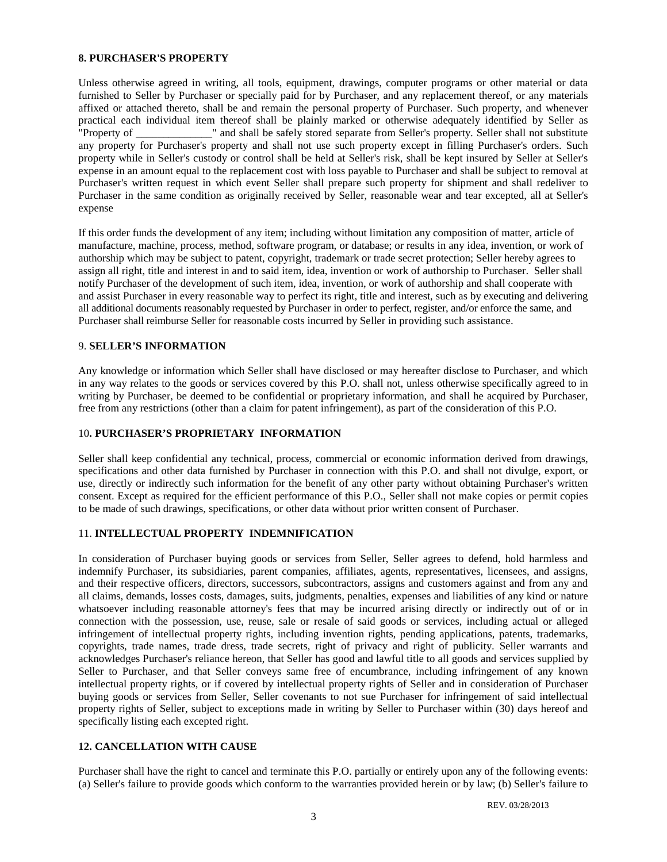### **8. PURCHASER'S PROPERTY**

Unless otherwise agreed in writing, all tools, equipment, drawings, computer programs or other material or data furnished to Seller by Purchaser or specially paid for by Purchaser, and any replacement thereof, or any materials affixed or attached thereto, shall be and remain the personal property of Purchaser. Such property, and whenever practical each individual item thereof shall be plainly marked or otherwise adequately identified by Seller as<br>"Property of " and shall be safely stored separate from Seller's property. Seller shall not substitute " and shall be safely stored separate from Seller's property. Seller shall not substitute any property for Purchaser's property and shall not use such property except in filling Purchaser's orders. Such property while in Seller's custody or control shall be held at Seller's risk, shall be kept insured by Seller at Seller's expense in an amount equal to the replacement cost with loss payable to Purchaser and shall be subject to removal at Purchaser's written request in which event Seller shall prepare such property for shipment and shall redeliver to Purchaser in the same condition as originally received by Seller, reasonable wear and tear excepted, all at Seller's expense

If this order funds the development of any item; including without limitation any composition of matter, article of manufacture, machine, process, method, software program, or database; or results in any idea, invention, or work of authorship which may be subject to patent, copyright, trademark or trade secret protection; Seller hereby agrees to assign all right, title and interest in and to said item, idea, invention or work of authorship to Purchaser. Seller shall notify Purchaser of the development of such item, idea, invention, or work of authorship and shall cooperate with and assist Purchaser in every reasonable way to perfect its right, title and interest, such as by executing and delivering all additional documents reasonably requested by Purchaser in order to perfect, register, and/or enforce the same, and Purchaser shall reimburse Seller for reasonable costs incurred by Seller in providing such assistance.

# 9. **SELLER'S INFORMATION**

Any knowledge or information which Seller shall have disclosed or may hereafter disclose to Purchaser, and which in any way relates to the goods or services covered by this P.O. shall not, unless otherwise specifically agreed to in writing by Purchaser, be deemed to be confidential or proprietary information, and shall he acquired by Purchaser, free from any restrictions (other than a claim for patent infringement), as part of the consideration of this P.O.

# 10**. PURCHASER'S PROPRIETARY INFORMATION**

Seller shall keep confidential any technical, process, commercial or economic information derived from drawings, specifications and other data furnished by Purchaser in connection with this P.O. and shall not divulge, export, or use, directly or indirectly such information for the benefit of any other party without obtaining Purchaser's written consent. Except as required for the efficient performance of this P.O., Seller shall not make copies or permit copies to be made of such drawings, specifications, or other data without prior written consent of Purchaser.

# 11. **INTELLECTUAL PROPERTY INDEMNIFICATION**

In consideration of Purchaser buying goods or services from Seller, Seller agrees to defend, hold harmless and indemnify Purchaser, its subsidiaries, parent companies, affiliates, agents, representatives, licensees, and assigns, and their respective officers, directors, successors, subcontractors, assigns and customers against and from any and all claims, demands, losses costs, damages, suits, judgments, penalties, expenses and liabilities of any kind or nature whatsoever including reasonable attorney's fees that may be incurred arising directly or indirectly out of or in connection with the possession, use, reuse, sale or resale of said goods or services, including actual or alleged infringement of intellectual property rights, including invention rights, pending applications, patents, trademarks, copyrights, trade names, trade dress, trade secrets, right of privacy and right of publicity. Seller warrants and acknowledges Purchaser's reliance hereon, that Seller has good and lawful title to all goods and services supplied by Seller to Purchaser, and that Seller conveys same free of encumbrance, including infringement of any known intellectual property rights, or if covered by intellectual property rights of Seller and in consideration of Purchaser buying goods or services from Seller, Seller covenants to not sue Purchaser for infringement of said intellectual property rights of Seller, subject to exceptions made in writing by Seller to Purchaser within (30) days hereof and specifically listing each excepted right.

# **12. CANCELLATION WITH CAUSE**

Purchaser shall have the right to cancel and terminate this P.O. partially or entirely upon any of the following events: (a) Seller's failure to provide goods which conform to the warranties provided herein or by law; (b) Seller's failure to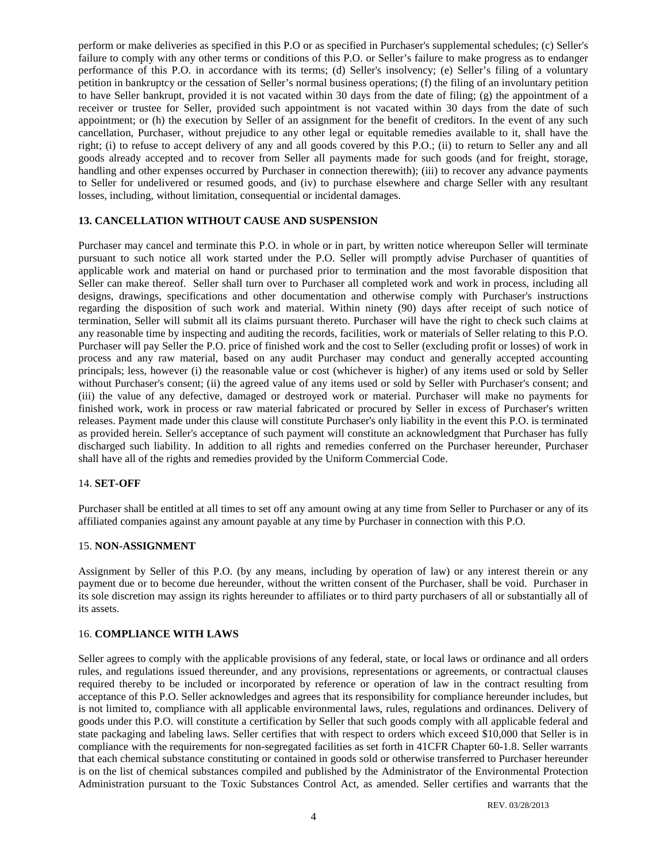perform or make deliveries as specified in this P.O or as specified in Purchaser's supplemental schedules; (c) Seller's failure to comply with any other terms or conditions of this P.O. or Seller's failure to make progress as to endanger performance of this P.O. in accordance with its terms; (d) Seller's insolvency; (e) Seller's filing of a voluntary petition in bankruptcy or the cessation of Seller's normal business operations; (f) the filing of an involuntary petition to have Seller bankrupt, provided it is not vacated within 30 days from the date of filing; (g) the appointment of a receiver or trustee for Seller, provided such appointment is not vacated within 30 days from the date of such appointment; or (h) the execution by Seller of an assignment for the benefit of creditors. In the event of any such cancellation, Purchaser, without prejudice to any other legal or equitable remedies available to it, shall have the right; (i) to refuse to accept delivery of any and all goods covered by this P.O.; (ii) to return to Seller any and all goods already accepted and to recover from Seller all payments made for such goods (and for freight, storage, handling and other expenses occurred by Purchaser in connection therewith); (iii) to recover any advance payments to Seller for undelivered or resumed goods, and (iv) to purchase elsewhere and charge Seller with any resultant losses, including, without limitation, consequential or incidental damages.

#### **13. CANCELLATION WITHOUT CAUSE AND SUSPENSION**

Purchaser may cancel and terminate this P.O. in whole or in part, by written notice whereupon Seller will terminate pursuant to such notice all work started under the P.O. Seller will promptly advise Purchaser of quantities of applicable work and material on hand or purchased prior to termination and the most favorable disposition that Seller can make thereof. Seller shall turn over to Purchaser all completed work and work in process, including all designs, drawings, specifications and other documentation and otherwise comply with Purchaser's instructions regarding the disposition of such work and material. Within ninety (90) days after receipt of such notice of termination, Seller will submit all its claims pursuant thereto. Purchaser will have the right to check such claims at any reasonable time by inspecting and auditing the records, facilities, work or materials of Seller relating to this P.O. Purchaser will pay Seller the P.O. price of finished work and the cost to Seller (excluding profit or losses) of work in process and any raw material, based on any audit Purchaser may conduct and generally accepted accounting principals; less, however (i) the reasonable value or cost (whichever is higher) of any items used or sold by Seller without Purchaser's consent; (ii) the agreed value of any items used or sold by Seller with Purchaser's consent; and (iii) the value of any defective, damaged or destroyed work or material. Purchaser will make no payments for finished work, work in process or raw material fabricated or procured by Seller in excess of Purchaser's written releases. Payment made under this clause will constitute Purchaser's only liability in the event this P.O. is terminated as provided herein. Seller's acceptance of such payment will constitute an acknowledgment that Purchaser has fully discharged such liability. In addition to all rights and remedies conferred on the Purchaser hereunder, Purchaser shall have all of the rights and remedies provided by the Uniform Commercial Code.

### 14. **SET-OFF**

Purchaser shall be entitled at all times to set off any amount owing at any time from Seller to Purchaser or any of its affiliated companies against any amount payable at any time by Purchaser in connection with this P.O.

#### 15. **NON-ASSIGNMENT**

Assignment by Seller of this P.O. (by any means, including by operation of law) or any interest therein or any payment due or to become due hereunder, without the written consent of the Purchaser, shall be void. Purchaser in its sole discretion may assign its rights hereunder to affiliates or to third party purchasers of all or substantially all of its assets.

### 16. **COMPLIANCE WITH LAWS**

Seller agrees to comply with the applicable provisions of any federal, state, or local laws or ordinance and all orders rules, and regulations issued thereunder, and any provisions, representations or agreements, or contractual clauses required thereby to be included or incorporated by reference or operation of law in the contract resulting from acceptance of this P.O. Seller acknowledges and agrees that its responsibility for compliance hereunder includes, but is not limited to, compliance with all applicable environmental laws, rules, regulations and ordinances. Delivery of goods under this P.O. will constitute a certification by Seller that such goods comply with all applicable federal and state packaging and labeling laws. Seller certifies that with respect to orders which exceed \$10,000 that Seller is in compliance with the requirements for non-segregated facilities as set forth in 41CFR Chapter 60-1.8. Seller warrants that each chemical substance constituting or contained in goods sold or otherwise transferred to Purchaser hereunder is on the list of chemical substances compiled and published by the Administrator of the Environmental Protection Administration pursuant to the Toxic Substances Control Act, as amended. Seller certifies and warrants that the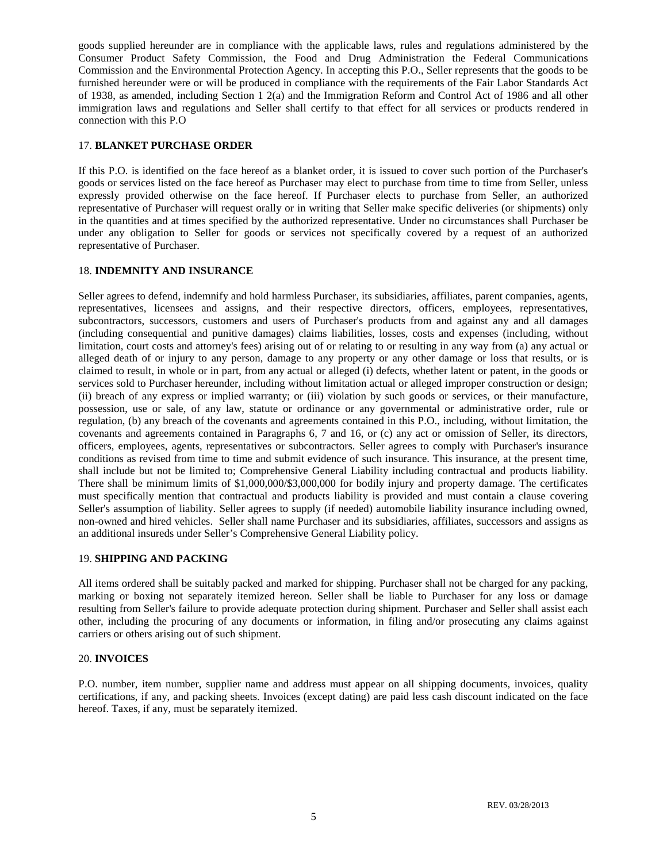goods supplied hereunder are in compliance with the applicable laws, rules and regulations administered by the Consumer Product Safety Commission, the Food and Drug Administration the Federal Communications Commission and the Environmental Protection Agency. In accepting this P.O., Seller represents that the goods to be furnished hereunder were or will be produced in compliance with the requirements of the Fair Labor Standards Act of 1938, as amended, including Section 1 2(a) and the Immigration Reform and Control Act of 1986 and all other immigration laws and regulations and Seller shall certify to that effect for all services or products rendered in connection with this P.O

### 17. **BLANKET PURCHASE ORDER**

If this P.O. is identified on the face hereof as a blanket order, it is issued to cover such portion of the Purchaser's goods or services listed on the face hereof as Purchaser may elect to purchase from time to time from Seller, unless expressly provided otherwise on the face hereof. If Purchaser elects to purchase from Seller, an authorized representative of Purchaser will request orally or in writing that Seller make specific deliveries (or shipments) only in the quantities and at times specified by the authorized representative. Under no circumstances shall Purchaser be under any obligation to Seller for goods or services not specifically covered by a request of an authorized representative of Purchaser.

### 18. **INDEMNITY AND INSURANCE**

Seller agrees to defend, indemnify and hold harmless Purchaser, its subsidiaries, affiliates, parent companies, agents, representatives, licensees and assigns, and their respective directors, officers, employees, representatives, subcontractors, successors, customers and users of Purchaser's products from and against any and all damages (including consequential and punitive damages) claims liabilities, losses, costs and expenses (including, without limitation, court costs and attorney's fees) arising out of or relating to or resulting in any way from (a) any actual or alleged death of or injury to any person, damage to any property or any other damage or loss that results, or is claimed to result, in whole or in part, from any actual or alleged (i) defects, whether latent or patent, in the goods or services sold to Purchaser hereunder, including without limitation actual or alleged improper construction or design; (ii) breach of any express or implied warranty; or (iii) violation by such goods or services, or their manufacture, possession, use or sale, of any law, statute or ordinance or any governmental or administrative order, rule or regulation, (b) any breach of the covenants and agreements contained in this P.O., including, without limitation, the covenants and agreements contained in Paragraphs 6, 7 and 16, or (c) any act or omission of Seller, its directors, officers, employees, agents, representatives or subcontractors. Seller agrees to comply with Purchaser's insurance conditions as revised from time to time and submit evidence of such insurance. This insurance, at the present time, shall include but not be limited to; Comprehensive General Liability including contractual and products liability. There shall be minimum limits of \$1,000,000/\$3,000,000 for bodily injury and property damage. The certificates must specifically mention that contractual and products liability is provided and must contain a clause covering Seller's assumption of liability. Seller agrees to supply (if needed) automobile liability insurance including owned, non-owned and hired vehicles. Seller shall name Purchaser and its subsidiaries, affiliates, successors and assigns as an additional insureds under Seller's Comprehensive General Liability policy.

#### 19. **SHIPPING AND PACKING**

All items ordered shall be suitably packed and marked for shipping. Purchaser shall not be charged for any packing, marking or boxing not separately itemized hereon. Seller shall be liable to Purchaser for any loss or damage resulting from Seller's failure to provide adequate protection during shipment. Purchaser and Seller shall assist each other, including the procuring of any documents or information, in filing and/or prosecuting any claims against carriers or others arising out of such shipment.

#### 20. **INVOICES**

P.O. number, item number, supplier name and address must appear on all shipping documents, invoices, quality certifications, if any, and packing sheets. Invoices (except dating) are paid less cash discount indicated on the face hereof. Taxes, if any, must be separately itemized.